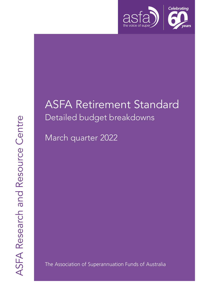

# ASFA Retirement Standard Detailed budget breakdowns

March quarter 2022

The Association of Superannuation Funds of Australia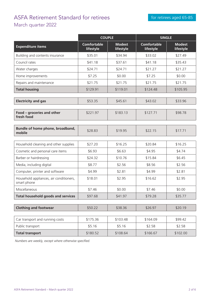#### ASFA Retirement Standard for retirees March quarter 2022

|                                                        | <b>COUPLE</b>                   |                            | <b>SINGLE</b>                   |                            |
|--------------------------------------------------------|---------------------------------|----------------------------|---------------------------------|----------------------------|
| <b>Expenditure items</b>                               | <b>Comfortable</b><br>lifestyle | <b>Modest</b><br>lifestyle | <b>Comfortable</b><br>lifestyle | <b>Modest</b><br>lifestyle |
| Building and contents insurance                        | \$35.01                         | \$34.94                    | \$33.02                         | \$27.49                    |
| Council rates                                          | \$41.18                         | \$37.61                    | \$41.18                         | \$35.43                    |
| Water charges                                          | \$24.71                         | \$24.71                    | \$21.27                         | \$21.27                    |
| Home improvements                                      | \$7.25                          | \$0.00                     | \$7.25                          | \$0.00                     |
| Repairs and maintenance                                | \$21.75                         | \$21.75                    | \$21.75                         | \$21.75                    |
| <b>Total housing</b>                                   | \$129.91                        | \$119.01                   | \$124.48                        | \$105.95                   |
| <b>Electricity and gas</b>                             | \$53.35                         | \$45.61                    | \$43.02                         | \$33.96                    |
| Food - groceries and other<br>fresh food               | \$221.97                        | \$183.13                   | \$127.71                        | \$98.78                    |
| Bundle of home phone, broadband,<br>mobile             | \$28.83                         | \$19.95                    | \$22.15                         | \$17.71                    |
| Household cleaning and other supplies                  | \$27.20                         | \$16.25                    | \$20.84                         | \$16.25                    |
| Cosmetic and personal care items                       | \$6.93                          | \$6.63                     | \$4.95                          | \$4.74                     |
| Barber or hairdressing                                 | \$24.32                         | \$10.76                    | \$15.84                         | \$6.45                     |
| Media, including digital                               | \$8.77                          | \$2.56                     | \$8.56                          | \$2.56                     |
| Computer, printer and software                         | \$4.99                          | \$2.81                     | \$4.99                          | \$2.81                     |
| Household appliances, air conditioners,<br>smart phone | \$18.01                         | \$2.95                     | \$16.62                         | \$2.95                     |
| Miscellaneous                                          | \$7.46                          | \$0.00                     | \$7.46                          | \$0.00                     |
| <b>Total household goods and services</b>              | \$97.68                         | \$41.97                    | \$79.28                         | \$35.77                    |
| <b>Clothing and footwear</b>                           | \$50.22                         | \$38.36                    | \$26.97                         | \$20.19                    |
| Car transport and running costs                        | \$175.36                        | \$103.48                   | \$164.09                        | \$99.42                    |
| Public transport                                       | \$5.16                          | \$5.16                     | \$2.58                          | \$2.58                     |
| <b>Total transport</b>                                 | \$180.52                        | \$108.64                   | \$166.67                        | \$102.00                   |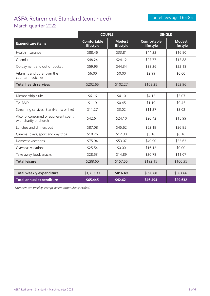## ASFA Retirement Standard (continued) March quarter 2022

|                                                                | <b>COUPLE</b>                   |                            | <b>SINGLE</b>                   |                            |
|----------------------------------------------------------------|---------------------------------|----------------------------|---------------------------------|----------------------------|
| <b>Expenditure items</b>                                       | <b>Comfortable</b><br>lifestyle | <b>Modest</b><br>lifestyle | <b>Comfortable</b><br>lifestyle | <b>Modest</b><br>lifestyle |
| Health insurance                                               | \$88.46                         | \$33.81                    | \$44.22                         | \$16.90                    |
| Chemist                                                        | \$48.24                         | \$24.12                    | \$27.77                         | \$13.88                    |
| Co-payment and out of pocket                                   | \$59.95                         | \$44.34                    | \$33.26                         | \$22.18                    |
| Vitamins and other over the<br>counter medicines               | \$6.00                          | \$0.00                     | \$2.99                          | \$0.00                     |
| <b>Total health services</b>                                   | \$202.65                        | \$102.27                   | \$108.25                        | \$52.96                    |
|                                                                |                                 |                            |                                 |                            |
| Membership clubs                                               | \$6.16                          | \$4.10                     | \$4.12                          | \$3.07                     |
| TV, DVD                                                        | \$1.19                          | \$0.45                     | \$1.19                          | \$0.45                     |
| Streaming services (Stan/Netflix or like)                      | \$11.27                         | \$3.02                     | \$11.27                         | \$3.02                     |
| Alcohol consumed or equivalent spent<br>with charity or church | \$42.64                         | \$24.10                    | \$20.42                         | \$15.99                    |
| Lunches and dinners out                                        | \$87.08                         | \$45.62                    | \$62.19                         | \$26.95                    |
| Cinema, plays, sport and day trips                             | \$10.26                         | \$12.30                    | \$6.16                          | \$6.16                     |
| Domestic vacations                                             | \$75.94                         | \$53.07                    | \$49.90                         | \$33.63                    |
| Overseas vacations                                             | \$25.54                         | \$0.00                     | \$16.12                         | \$0.00                     |
| Take away food, snacks                                         | \$28.53                         | \$14.89                    | \$20.78                         | \$11.07                    |
| <b>Total leisure</b>                                           | \$288.60                        | \$157.55                   | \$192.15                        | \$100.35                   |

| Total weekly expenditure | \$1,253.73 | \$816.49 | \$890.68 | \$567.66       |
|--------------------------|------------|----------|----------|----------------|
| Total annual expenditure | S65.445    | \$42,621 | \$46,494 | <b>S29.632</b> |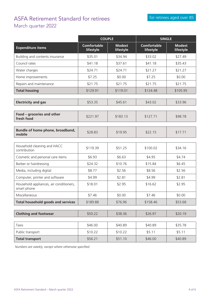## ASFA Retirement Standard for retirees March quarter 2022

|                                                        | <b>COUPLE</b>                   |                            | <b>SINGLE</b>                   |                            |
|--------------------------------------------------------|---------------------------------|----------------------------|---------------------------------|----------------------------|
| <b>Expenditure items</b>                               | <b>Comfortable</b><br>lifestyle | <b>Modest</b><br>lifestyle | <b>Comfortable</b><br>lifestyle | <b>Modest</b><br>lifestyle |
| Building and contents insurance                        | \$35.01                         | \$34.94                    | \$33.02                         | \$27.49                    |
| Council rates                                          | \$41.18                         | \$37.61                    | \$41.18                         | \$35.43                    |
| Water charges                                          | \$24.71                         | \$24.71                    | \$21.27                         | \$21.27                    |
| Home improvements                                      | \$7.25                          | \$0.00                     | \$7.25                          | \$0.00                     |
| Repairs and maintenance                                | \$21.75                         | \$21.75                    | \$21.75                         | \$21.75                    |
| <b>Total housing</b>                                   | \$129.91                        | \$119.01                   | \$124.48                        | \$105.95                   |
| <b>Electricity and gas</b>                             | \$53.35                         | \$45.61                    | \$43.02                         | \$33.96                    |
| Food - groceries and other<br>fresh food               | \$221.97                        | \$183.13                   | \$127.71                        | \$98.78                    |
| Bundle of home phone, broadband,<br>mobile             | \$28.83                         | \$19.95                    | \$22.15                         | \$17.71                    |
| Household cleaning and HACC<br>contribution            | \$119.39                        | \$51.25                    | \$100.02                        | \$34.16                    |
| Cosmetic and personal care items                       | \$6.93                          | \$6.63                     | \$4.95                          | \$4.74                     |
| Barber or hairdressing                                 | \$24.32                         | \$10.76                    | \$15.84                         | \$6.45                     |
| Media, including digital                               | \$8.77                          | \$2.56                     | \$8.56                          | \$2.56                     |
| Computer, printer and software                         | \$4.99                          | \$2.81                     | \$4.99                          | \$2.81                     |
| Household appliances, air conditioners,<br>smart phone | \$18.01                         | \$2.95                     | \$16.62                         | \$2.95                     |
| Miscellaneous                                          | \$7.46                          | \$0.00                     | \$7.46                          | \$0.00                     |
| <b>Total household goods and services</b>              | \$189.88                        | \$76.96                    | \$158.46                        | \$53.68                    |
| <b>Clothing and footwear</b>                           | \$50.22                         | \$38.36                    | \$26.97                         | \$20.19                    |
| <b>Taxis</b>                                           | \$46.00                         | \$40.89                    | \$40.89                         | \$35.78                    |
| Public transport                                       | \$10.22                         | \$10.22                    | \$5.11                          | \$5.11                     |
| <b>Total transport</b>                                 | \$56.21                         | \$51.10                    | \$46.00                         | \$40.89                    |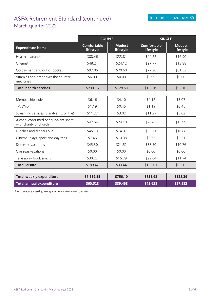## ASFA Retirement Standard (continued) March quarter 2022

|                                                                | <b>COUPLE</b>                   |                            | <b>SINGLE</b>                   |                            |
|----------------------------------------------------------------|---------------------------------|----------------------------|---------------------------------|----------------------------|
| <b>Expenditure items</b>                                       | <b>Comfortable</b><br>lifestyle | <b>Modest</b><br>lifestyle | <b>Comfortable</b><br>lifestyle | <b>Modest</b><br>lifestyle |
| Health insurance                                               | \$88.46                         | \$33.81                    | \$44.22                         | \$16.90                    |
| Chemist                                                        | \$48.24                         | \$24.12                    | \$27.77                         | \$13.88                    |
| Co-payment and out of pocket                                   | \$97.06                         | \$70.60                    | \$77.20                         | \$61.32                    |
| Vitamins and other over the counter<br>medicines               | \$6.00                          | \$0.00                     | \$2.99                          | \$0.00                     |
| <b>Total health services</b>                                   | \$239.76                        | \$128.53                   | \$152.19                        | \$92.10                    |
|                                                                |                                 |                            |                                 |                            |
| Membership clubs                                               | \$6.16                          | \$4.10                     | \$4.12                          | \$3.07                     |
| TV, DVD                                                        | \$1.19                          | \$0.45                     | \$1.19                          | \$0.45                     |
| Streaming services (Stan/Netflix or like)                      | \$11.27                         | \$3.02                     | \$11.27                         | \$3.02                     |
| Alcohol consumed or equivalent spent<br>with charity or church | \$42.64                         | \$24.10                    | \$20.42                         | \$15.99                    |
| Lunches and dinners out                                        | \$45.13                         | \$14.07                    | \$33.71                         | \$16.88                    |
| Cinema, plays, sport and day trips                             | \$7.46                          | \$10.38                    | \$3.75                          | \$3.21                     |
| Domestic vacations                                             | \$45.30                         | \$21.52                    | \$38.50                         | \$10.76                    |
| Overseas vacations                                             | \$0.00                          | \$0.00                     | \$0.00                          | \$0.00                     |
| Take away food, snacks                                         | \$30.27                         | \$15.79                    | \$22.04                         | \$11.74                    |
| <b>Total leisure</b>                                           | \$189.42                        | \$93.44                    | \$135.01                        | \$65.13                    |
|                                                                |                                 |                            |                                 |                            |
| <b>Total weekly expenditure</b>                                | \$1,159.55                      | \$756.10                   | \$835.98                        | \$528.39                   |
| <b>Total annual expenditure</b>                                | \$60,528                        | \$39,468                   | \$43,638                        | \$27,582                   |